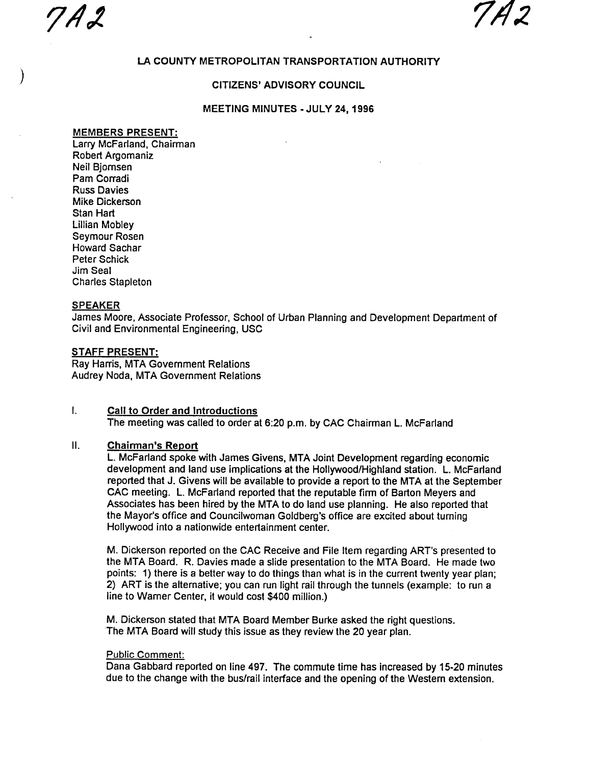7A2 7A2

# LA COUNTY METROPOLITAN TRANSPORTATION AUTHORITY

### CITIZENS' ADVISORY COUNCIL

### MEETING MINUTES - JULY 24, 1996

### MEMBERS PRESENT:

Larry McFarland, Chairman Robert Argomaniz Neil Bjomsen Pam Corradi Russ Davies Mike Dickerson Stan Hart Lillian Mobley Seymour Rosen Howard Sachar Peter Schick Jim Seal Charles Stapleton

### SPEAKER

James Moore, Associate Professor, School of Urban Planning and Development Department of Civil and Environmental Engineering, USC

### STAFF PRESENT:

Ray Harris, MTA Government Relations Audrey Noda , MTA Government Relations

#### L Call to Order and Introductions The meeting was called to order at 6:20 p.m. by CAC Chairman L. McFarland

# II. Chairman's Report

L. McFarland spoke with James Givens, MTA Joint Development regarding economic development and land use implications at the Hollywood/Highland station. L. McFarland reported that J. Givens will be available to provide a report to the MTA at the September CAC meeting. L. McFarland reported that the reputable firm of Barton Meyers and Associates has been hired by the MTA to do land use planning. He also reported that the Mayor's office and Councilwoman Goldberg's office are excited about turning Hollywood into a nationwide entertainment center.

M. Dickerson reported on the CAC Receive and File Item regarding ART's presented to the MTA Board. R. Davies made a slide presentation to the MTA Board. He made two points: 1) there is a better way to do things than what is in the current twenty year plan; 2) ART is the alternative; you can run light rail through the tunnels (example: to run a line to Warner Center, it would cost \$400 million.)

M. Dickerson stated that MTA Board Member Burke asked the right questions. The MTA Board will study this issue as they review the 20 year plan.

### Public Comment:

Dana Gabbard reported on line 497. The commute time has increased by 15-20 minutes due to the change with the bus/rail interface and the opening of the Western extension.